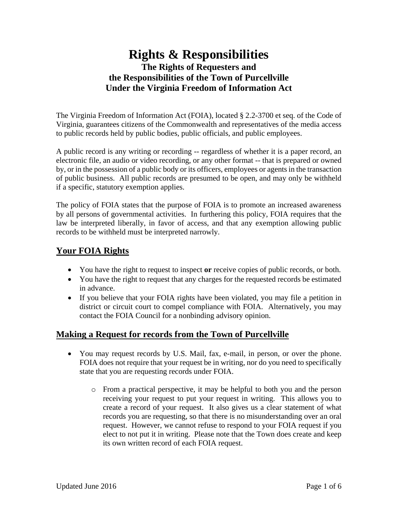## **Rights & Responsibilities The Rights of Requesters and the Responsibilities of the Town of Purcellville Under the Virginia Freedom of Information Act**

The Virginia Freedom of Information Act (FOIA), located § 2.2-3700 et seq. of the Code of Virginia, guarantees citizens of the Commonwealth and representatives of the media access to public records held by public bodies, public officials, and public employees.

A public record is any writing or recording -- regardless of whether it is a paper record, an electronic file, an audio or video recording, or any other format -- that is prepared or owned by, or in the possession of a public body or its officers, employees or agents in the transaction of public business. All public records are presumed to be open, and may only be withheld if a specific, statutory exemption applies.

The policy of FOIA states that the purpose of FOIA is to promote an increased awareness by all persons of governmental activities. In furthering this policy, FOIA requires that the law be interpreted liberally, in favor of access, and that any exemption allowing public records to be withheld must be interpreted narrowly.

## **Your FOIA Rights**

- You have the right to request to inspect **or** receive copies of public records, or both.
- You have the right to request that any charges for the requested records be estimated in advance.
- If you believe that your FOIA rights have been violated, you may file a petition in district or circuit court to compel compliance with FOIA. Alternatively, you may contact the FOIA Council for a nonbinding advisory opinion.

#### **Making a Request for records from the Town of Purcellville**

- You may request records by U.S. Mail, fax, e-mail, in person, or over the phone. FOIA does not require that your request be in writing, nor do you need to specifically state that you are requesting records under FOIA.
	- o From a practical perspective, it may be helpful to both you and the person receiving your request to put your request in writing. This allows you to create a record of your request. It also gives us a clear statement of what records you are requesting, so that there is no misunderstanding over an oral request. However, we cannot refuse to respond to your FOIA request if you elect to not put it in writing. Please note that the Town does create and keep its own written record of each FOIA request.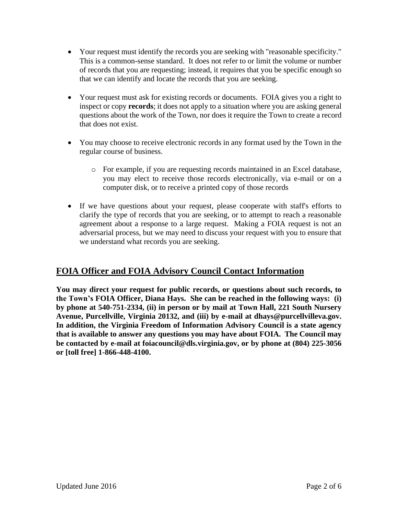- Your request must identify the records you are seeking with "reasonable specificity." This is a common-sense standard. It does not refer to or limit the volume or number of records that you are requesting; instead, it requires that you be specific enough so that we can identify and locate the records that you are seeking.
- Your request must ask for existing records or documents. FOIA gives you a right to inspect or copy **records**; it does not apply to a situation where you are asking general questions about the work of the Town, nor does it require the Town to create a record that does not exist.
- You may choose to receive electronic records in any format used by the Town in the regular course of business.
	- o For example, if you are requesting records maintained in an Excel database, you may elect to receive those records electronically, via e-mail or on a computer disk, or to receive a printed copy of those records
- If we have questions about your request, please cooperate with staff's efforts to clarify the type of records that you are seeking, or to attempt to reach a reasonable agreement about a response to a large request. Making a FOIA request is not an adversarial process, but we may need to discuss your request with you to ensure that we understand what records you are seeking.

## **FOIA Officer and FOIA Advisory Council Contact Information**

**You may direct your request for public records, or questions about such records, to the Town's FOIA Officer, Diana Hays. She can be reached in the following ways: (i) by phone at 540-751-2334, (ii) in person or by mail at Town Hall, 221 South Nursery Avenue, Purcellville, Virginia 20132, and (iii) by e-mail at dhays@purcellvilleva.gov. In addition, the Virginia Freedom of Information Advisory Council is a state agency that is available to answer any questions you may have about FOIA. The Council may be contacted by e-mail at foiacouncil@dls.virginia.gov, or by phone at (804) 225-3056 or [toll free] 1-866-448-4100.**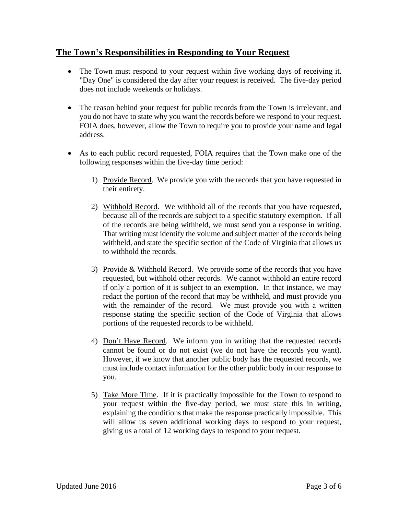#### **The Town's Responsibilities in Responding to Your Request**

- The Town must respond to your request within five working days of receiving it. "Day One" is considered the day after your request is received. The five-day period does not include weekends or holidays.
- The reason behind your request for public records from the Town is irrelevant, and you do not have to state why you want the records before we respond to your request. FOIA does, however, allow the Town to require you to provide your name and legal address.
- As to each public record requested, FOIA requires that the Town make one of the following responses within the five-day time period:
	- 1) Provide Record. We provide you with the records that you have requested in their entirety.
	- 2) Withhold Record. We withhold all of the records that you have requested, because all of the records are subject to a specific statutory exemption. If all of the records are being withheld, we must send you a response in writing. That writing must identify the volume and subject matter of the records being withheld, and state the specific section of the Code of Virginia that allows us to withhold the records.
	- 3) Provide & Withhold Record. We provide some of the records that you have requested, but withhold other records. We cannot withhold an entire record if only a portion of it is subject to an exemption. In that instance, we may redact the portion of the record that may be withheld, and must provide you with the remainder of the record. We must provide you with a written response stating the specific section of the Code of Virginia that allows portions of the requested records to be withheld.
	- 4) Don't Have Record. We inform you in writing that the requested records cannot be found or do not exist (we do not have the records you want). However, if we know that another public body has the requested records, we must include contact information for the other public body in our response to you.
	- 5) Take More Time. If it is practically impossible for the Town to respond to your request within the five-day period, we must state this in writing, explaining the conditions that make the response practically impossible. This will allow us seven additional working days to respond to your request, giving us a total of 12 working days to respond to your request.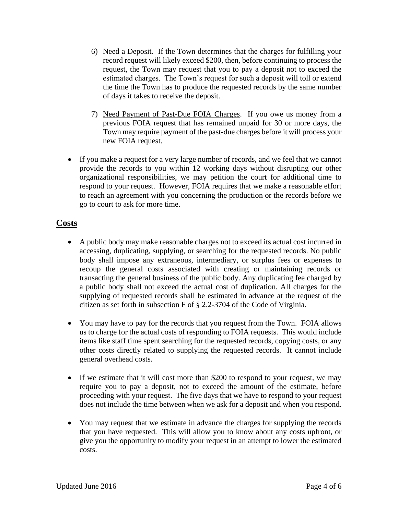- 6) Need a Deposit. If the Town determines that the charges for fulfilling your record request will likely exceed \$200, then, before continuing to process the request, the Town may request that you to pay a deposit not to exceed the estimated charges. The Town's request for such a deposit will toll or extend the time the Town has to produce the requested records by the same number of days it takes to receive the deposit.
- 7) Need Payment of Past-Due FOIA Charges. If you owe us money from a previous FOIA request that has remained unpaid for 30 or more days, the Town may require payment of the past-due charges before it will process your new FOIA request.
- If you make a request for a very large number of records, and we feel that we cannot provide the records to you within 12 working days without disrupting our other organizational responsibilities, we may petition the court for additional time to respond to your request. However, FOIA requires that we make a reasonable effort to reach an agreement with you concerning the production or the records before we go to court to ask for more time.

#### **Costs**

- A public body may make reasonable charges not to exceed its actual cost incurred in accessing, duplicating, supplying, or searching for the requested records. No public body shall impose any extraneous, intermediary, or surplus fees or expenses to recoup the general costs associated with creating or maintaining records or transacting the general business of the public body. Any duplicating fee charged by a public body shall not exceed the actual cost of duplication. All charges for the supplying of requested records shall be estimated in advance at the request of the citizen as set forth in subsection F of § 2.2-3704 of the Code of Virginia.
- You may have to pay for the records that you request from the Town. FOIA allows us to charge for the actual costs of responding to FOIA requests. This would include items like staff time spent searching for the requested records, copying costs, or any other costs directly related to supplying the requested records. It cannot include general overhead costs.
- If we estimate that it will cost more than \$200 to respond to your request, we may require you to pay a deposit, not to exceed the amount of the estimate, before proceeding with your request. The five days that we have to respond to your request does not include the time between when we ask for a deposit and when you respond.
- You may request that we estimate in advance the charges for supplying the records that you have requested. This will allow you to know about any costs upfront, or give you the opportunity to modify your request in an attempt to lower the estimated costs.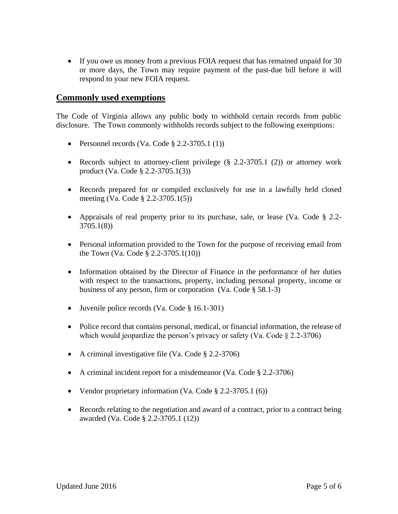• If you owe us money from a previous FOIA request that has remained unpaid for 30 or more days, the Town may require payment of the past-due bill before it will respond to your new FOIA request.

#### **Commonly used exemptions**

The Code of Virginia allows any public body to withhold certain records from public disclosure. The Town commonly withholds records subject to the following exemptions:

- Personnel records (Va. Code  $\S$  2.2-3705.1 (1))
- Records subject to attorney-client privilege (§ 2.2-3705.1 (2)) or attorney work product (Va. Code § 2.2-3705.1(3))
- Records prepared for or compiled exclusively for use in a lawfully held closed meeting (Va. Code § 2.2-3705.1(5))
- Appraisals of real property prior to its purchase, sale, or lease (Va. Code § 2.2- 3705.1(8))
- Personal information provided to the Town for the purpose of receiving email from the Town (Va. Code § 2.2-3705.1(10))
- Information obtained by the Director of Finance in the performance of her duties with respect to the transactions, property, including personal property, income or business of any person, firm or corporation (Va. Code § 58.1-3)
- Juvenile police records (Va. Code § 16.1-301)
- Police record that contains personal, medical, or financial information, the release of which would jeopardize the person's privacy or safety (Va. Code § 2.2-3706)
- A criminal investigative file (Va. Code  $\S$  2.2-3706)
- A criminal incident report for a misdemeanor (Va. Code § 2.2-3706)
- Vendor proprietary information (Va. Code  $\S$  2.2-3705.1 (6))
- Records relating to the negotiation and award of a contract, prior to a contract being awarded (Va. Code § 2.2-3705.1 (12))